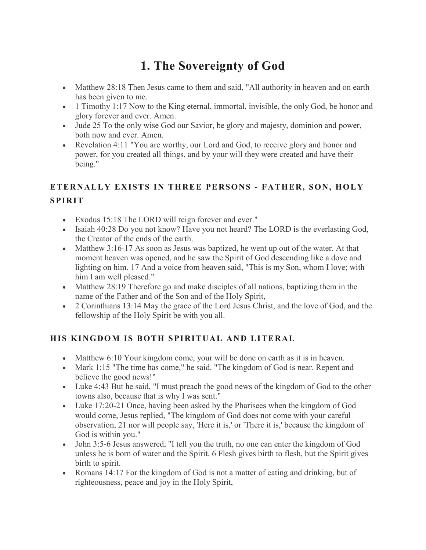# **1. The Sovereignty of God**

- Matthew 28:18 Then Jesus came to them and said, "All authority in heaven and on earth has been given to me.
- 1 Timothy 1:17 Now to the King eternal, immortal, invisible, the only God, be honor and glory forever and ever. Amen.
- Jude 25 To the only wise God our Savior, be glory and majesty, dominion and power, both now and ever. Amen.
- Revelation 4:11 "You are worthy, our Lord and God, to receive glory and honor and power, for you created all things, and by your will they were created and have their being."

## **ETERNALLY EXISTS IN THREE PERSONS - FATHER, SON, HOLY SPIRIT**

- Exodus 15:18 The LORD will reign forever and ever."
- Isaiah 40:28 Do you not know? Have you not heard? The LORD is the everlasting God, the Creator of the ends of the earth.
- Matthew 3:16-17 As soon as Jesus was baptized, he went up out of the water. At that moment heaven was opened, and he saw the Spirit of God descending like a dove and lighting on him. 17 And a voice from heaven said, "This is my Son, whom I love; with him I am well pleased."
- Matthew 28:19 Therefore go and make disciples of all nations, baptizing them in the name of the Father and of the Son and of the Holy Spirit,
- 2 Corinthians 13:14 May the grace of the Lord Jesus Christ, and the love of God, and the fellowship of the Holy Spirit be with you all.

### **HIS KINGDOM IS BOTH SPIRITUAL AND LITERAL**

- Matthew 6:10 Your kingdom come, your will be done on earth as it is in heaven.
- Mark 1:15 "The time has come," he said. "The kingdom of God is near. Repent and believe the good news!"
- Luke 4:43 But he said, "I must preach the good news of the kingdom of God to the other towns also, because that is why I was sent."
- Luke 17:20-21 Once, having been asked by the Pharisees when the kingdom of God would come, Jesus replied, "The kingdom of God does not come with your careful observation, 21 nor will people say, 'Here it is,' or 'There it is,' because the kingdom of God is within you."
- John 3:5-6 Jesus answered, "I tell you the truth, no one can enter the kingdom of God unless he is born of water and the Spirit. 6 Flesh gives birth to flesh, but the Spirit gives birth to spirit.
- Romans 14:17 For the kingdom of God is not a matter of eating and drinking, but of righteousness, peace and joy in the Holy Spirit,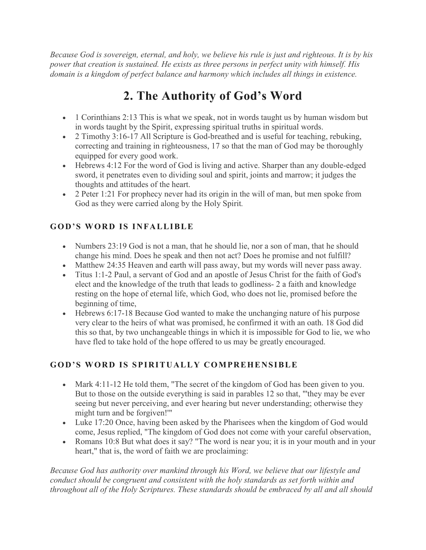*Because God is sovereign, eternal, and holy, we believe his rule is just and righteous. It is by his power that creation is sustained. He exists as three persons in perfect unity with himself. His domain is a kingdom of perfect balance and harmony which includes all things in existence.*

# **2. The Authority of God's Word**

- 1 Corinthians 2:13 This is what we speak, not in words taught us by human wisdom but in words taught by the Spirit, expressing spiritual truths in spiritual words.
- 2 Timothy 3:16-17 All Scripture is God-breathed and is useful for teaching, rebuking, correcting and training in righteousness, 17 so that the man of God may be thoroughly equipped for every good work.
- Hebrews 4:12 For the word of God is living and active. Sharper than any double-edged sword, it penetrates even to dividing soul and spirit, joints and marrow; it judges the thoughts and attitudes of the heart.
- 2 Peter 1:21 For prophecy never had its origin in the will of man, but men spoke from God as they were carried along by the Holy Spirit*.*

### **GOD'S WORD IS INFALLIBLE**

- Numbers 23:19 God is not a man, that he should lie, nor a son of man, that he should change his mind. Does he speak and then not act? Does he promise and not fulfill?
- Matthew 24:35 Heaven and earth will pass away, but my words will never pass away.
- Titus 1:1-2 Paul, a servant of God and an apostle of Jesus Christ for the faith of God's elect and the knowledge of the truth that leads to godliness- 2 a faith and knowledge resting on the hope of eternal life, which God, who does not lie, promised before the beginning of time,
- Hebrews 6:17-18 Because God wanted to make the unchanging nature of his purpose very clear to the heirs of what was promised, he confirmed it with an oath. 18 God did this so that, by two unchangeable things in which it is impossible for God to lie, we who have fled to take hold of the hope offered to us may be greatly encouraged.

### **GOD'S WORD IS SPIRITUALLY COMPREHENSIBLE**

- Mark 4:11-12 He told them, "The secret of the kingdom of God has been given to you. But to those on the outside everything is said in parables 12 so that, "'they may be ever seeing but never perceiving, and ever hearing but never understanding; otherwise they might turn and be forgiven!'"
- Luke 17:20 Once, having been asked by the Pharisees when the kingdom of God would come, Jesus replied, "The kingdom of God does not come with your careful observation,
- Romans 10:8 But what does it say? "The word is near you; it is in your mouth and in your heart," that is, the word of faith we are proclaiming:

*Because God has authority over mankind through his Word, we believe that our lifestyle and conduct should be congruent and consistent with the holy standards as set forth within and throughout all of the Holy Scriptures. These standards should be embraced by all and all should*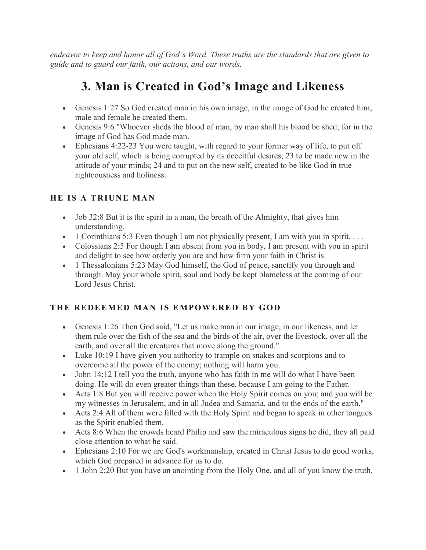*endeavor to keep and honor all of God's Word. These truths are the standards that are given to guide and to guard our faith, our actions, and our words.*

# **3. Man is Created in God's Image and Likeness**

- Genesis 1:27 So God created man in his own image, in the image of God he created him; male and female he created them.
- Genesis 9:6 "Whoever sheds the blood of man, by man shall his blood be shed; for in the image of God has God made man.
- Ephesians 4:22-23 You were taught, with regard to your former way of life, to put off your old self, which is being corrupted by its deceitful desires; 23 to be made new in the attitude of your minds; 24 and to put on the new self, created to be like God in true righteousness and holiness.

#### **HE IS A TRIUNE MAN**

- Job 32:8 But it is the spirit in a man, the breath of the Almighty, that gives him understanding.
- 1 Corinthians 5:3 Even though I am not physically present, I am with you in spirit.  $\dots$
- Colossians 2:5 For though I am absent from you in body, I am present with you in spirit and delight to see how orderly you are and how firm your faith in Christ is.
- 1 Thessalonians 5:23 May God himself, the God of peace, sanctify you through and through. May your whole spirit, soul and body be kept blameless at the coming of our Lord Jesus Christ.

### **THE REDEEMED MAN IS EMPOWERED BY GOD**

- Genesis 1:26 Then God said, "Let us make man in our image, in our likeness, and let them rule over the fish of the sea and the birds of the air, over the livestock, over all the earth, and over all the creatures that move along the ground."
- Luke 10:19 I have given you authority to trample on snakes and scorpions and to overcome all the power of the enemy; nothing will harm you.
- John 14:12 I tell you the truth, anyone who has faith in me will do what I have been doing. He will do even greater things than these, because I am going to the Father.
- Acts 1:8 But you will receive power when the Holy Spirit comes on you; and you will be my witnesses in Jerusalem, and in all Judea and Samaria, and to the ends of the earth."
- Acts 2:4 All of them were filled with the Holy Spirit and began to speak in other tongues as the Spirit enabled them.
- Acts 8:6 When the crowds heard Philip and saw the miraculous signs he did, they all paid close attention to what he said.
- Ephesians 2:10 For we are God's workmanship, created in Christ Jesus to do good works, which God prepared in advance for us to do.
- 1 John 2:20 But you have an anointing from the Holy One, and all of you know the truth.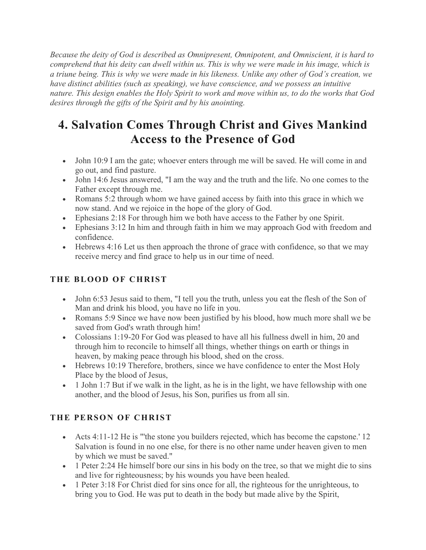*Because the deity of God is described as Omnipresent, Omnipotent, and Omniscient, it is hard to comprehend that his deity can dwell within us. This is why we were made in his image, which is a triune being. This is why we were made in his likeness. Unlike any other of God's creation, we have distinct abilities (such as speaking), we have conscience, and we possess an intuitive nature. This design enables the Holy Spirit to work and move within us, to do the works that God desires through the gifts of the Spirit and by his anointing.*

# **4. Salvation Comes Through Christ and Gives Mankind Access to the Presence of God**

- John 10:9 I am the gate; whoever enters through me will be saved. He will come in and go out, and find pasture.
- John 14:6 Jesus answered, "I am the way and the truth and the life. No one comes to the Father except through me.
- Romans 5:2 through whom we have gained access by faith into this grace in which we now stand. And we rejoice in the hope of the glory of God.
- Ephesians 2:18 For through him we both have access to the Father by one Spirit.
- Ephesians 3:12 In him and through faith in him we may approach God with freedom and confidence.
- Hebrews 4:16 Let us then approach the throne of grace with confidence, so that we may receive mercy and find grace to help us in our time of need.

### **THE BLOOD OF CHRIST**

- John 6:53 Jesus said to them, "I tell you the truth, unless you eat the flesh of the Son of Man and drink his blood, you have no life in you.
- Romans 5:9 Since we have now been justified by his blood, how much more shall we be saved from God's wrath through him!
- Colossians 1:19-20 For God was pleased to have all his fullness dwell in him, 20 and through him to reconcile to himself all things, whether things on earth or things in heaven, by making peace through his blood, shed on the cross.
- Hebrews 10:19 Therefore, brothers, since we have confidence to enter the Most Holy Place by the blood of Jesus,
- 1 John 1:7 But if we walk in the light, as he is in the light, we have fellowship with one another, and the blood of Jesus, his Son, purifies us from all sin.

### **THE PERSON OF CHRIST**

- Acts 4:11-12 He is "the stone you builders rejected, which has become the capstone.' 12 Salvation is found in no one else, for there is no other name under heaven given to men by which we must be saved."
- 1 Peter 2:24 He himself bore our sins in his body on the tree, so that we might die to sins and live for righteousness; by his wounds you have been healed.
- 1 Peter 3:18 For Christ died for sins once for all, the righteous for the unrighteous, to bring you to God. He was put to death in the body but made alive by the Spirit,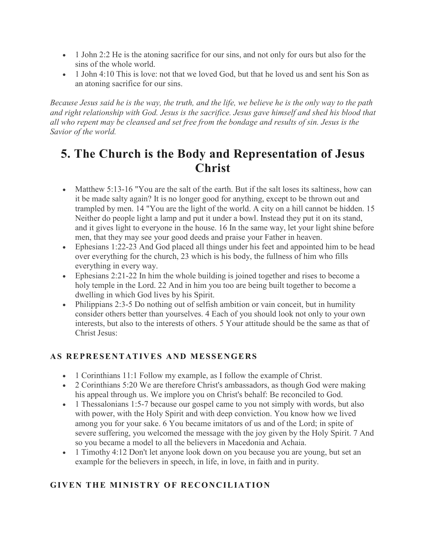- 1 John 2:2 He is the atoning sacrifice for our sins, and not only for ours but also for the sins of the whole world.
- 1 John 4:10 This is love: not that we loved God, but that he loved us and sent his Son as an atoning sacrifice for our sins.

*Because Jesus said he is the way, the truth, and the life, we believe he is the only way to the path and right relationship with God. Jesus is the sacrifice. Jesus gave himself and shed his blood that all who repent may be cleansed and set free from the bondage and results of sin. Jesus is the Savior of the world.*

# **5. The Church is the Body and Representation of Jesus Christ**

- Matthew 5:13-16 "You are the salt of the earth. But if the salt loses its saltiness, how can it be made salty again? It is no longer good for anything, except to be thrown out and trampled by men. 14 "You are the light of the world. A city on a hill cannot be hidden. 15 Neither do people light a lamp and put it under a bowl. Instead they put it on its stand, and it gives light to everyone in the house. 16 In the same way, let your light shine before men, that they may see your good deeds and praise your Father in heaven.
- Ephesians 1:22-23 And God placed all things under his feet and appointed him to be head over everything for the church, 23 which is his body, the fullness of him who fills everything in every way.
- Ephesians 2:21-22 In him the whole building is joined together and rises to become a holy temple in the Lord. 22 And in him you too are being built together to become a dwelling in which God lives by his Spirit.
- Philippians 2:3-5 Do nothing out of selfish ambition or vain conceit, but in humility consider others better than yourselves. 4 Each of you should look not only to your own interests, but also to the interests of others. 5 Your attitude should be the same as that of Christ Jesus:

### **AS REPRESENTATIVES AND MESSENGERS**

- 1 Corinthians 11:1 Follow my example, as I follow the example of Christ.
- 2 Corinthians 5:20 We are therefore Christ's ambassadors, as though God were making his appeal through us. We implore you on Christ's behalf: Be reconciled to God.
- 1 Thessalonians 1:5-7 because our gospel came to you not simply with words, but also with power, with the Holy Spirit and with deep conviction. You know how we lived among you for your sake. 6 You became imitators of us and of the Lord; in spite of severe suffering, you welcomed the message with the joy given by the Holy Spirit. 7 And so you became a model to all the believers in Macedonia and Achaia.
- 1 Timothy 4:12 Don't let anyone look down on you because you are young, but set an example for the believers in speech, in life, in love, in faith and in purity.

### **GIVEN THE MINISTRY OF RECONCILIATION**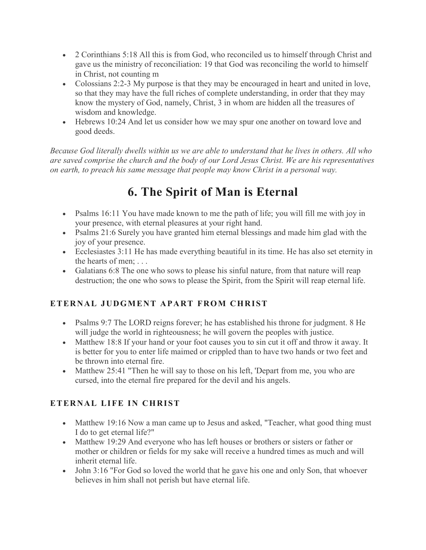- 2 Corinthians 5:18 All this is from God, who reconciled us to himself through Christ and gave us the ministry of reconciliation: 19 that God was reconciling the world to himself in Christ, not counting m
- Colossians 2:2-3 My purpose is that they may be encouraged in heart and united in love, so that they may have the full riches of complete understanding, in order that they may know the mystery of God, namely, Christ, 3 in whom are hidden all the treasures of wisdom and knowledge.
- Hebrews 10:24 And let us consider how we may spur one another on toward love and good deeds.

*Because God literally dwells within us we are able to understand that he lives in others. All who are saved comprise the church and the body of our Lord Jesus Christ. We are his representatives on earth, to preach his same message that people may know Christ in a personal way.*

# **6. The Spirit of Man is Eternal**

- Psalms 16:11 You have made known to me the path of life; you will fill me with joy in your presence, with eternal pleasures at your right hand.
- Psalms 21:6 Surely you have granted him eternal blessings and made him glad with the joy of your presence.
- Ecclesiastes 3:11 He has made everything beautiful in its time. He has also set eternity in the hearts of men; . . .
- Galatians 6:8 The one who sows to please his sinful nature, from that nature will reap destruction; the one who sows to please the Spirit, from the Spirit will reap eternal life.

### **ETERNAL JUDGMENT APART FROM CHRIST**

- Psalms 9:7 The LORD reigns forever; he has established his throne for judgment. 8 He will judge the world in righteousness; he will govern the peoples with justice.
- Matthew 18:8 If your hand or your foot causes you to sin cut it off and throw it away. It is better for you to enter life maimed or crippled than to have two hands or two feet and be thrown into eternal fire.
- Matthew 25:41 "Then he will say to those on his left, 'Depart from me, you who are cursed, into the eternal fire prepared for the devil and his angels.

### **ETERNAL LIFE IN CHRIST**

- Matthew 19:16 Now a man came up to Jesus and asked, "Teacher, what good thing must I do to get eternal life?"
- Matthew 19:29 And everyone who has left houses or brothers or sisters or father or mother or children or fields for my sake will receive a hundred times as much and will inherit eternal life.
- John 3:16 "For God so loved the world that he gave his one and only Son, that whoever believes in him shall not perish but have eternal life.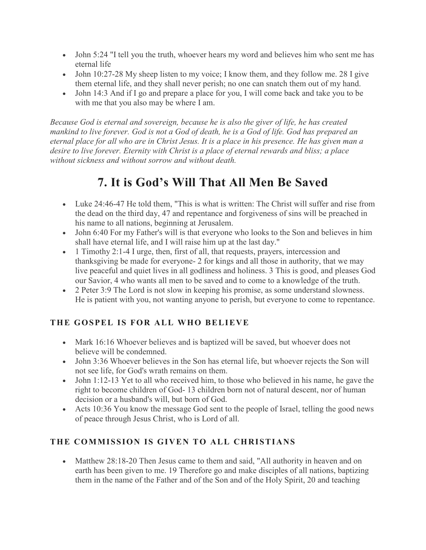- John 5:24 "I tell you the truth, whoever hears my word and believes him who sent me has eternal life
- John  $10:27-28$  My sheep listen to my voice; I know them, and they follow me. 28 I give them eternal life, and they shall never perish; no one can snatch them out of my hand.
- John 14:3 And if I go and prepare a place for you, I will come back and take you to be with me that you also may be where I am.

*Because God is eternal and sovereign, because he is also the giver of life, he has created mankind to live forever. God is not a God of death, he is a God of life. God has prepared an eternal place for all who are in Christ Jesus. It is a place in his presence. He has given man a desire to live forever. Eternity with Christ is a place of eternal rewards and bliss; a place without sickness and without sorrow and without death.*

# **7. It is God's Will That All Men Be Saved**

- Luke 24:46-47 He told them, "This is what is written: The Christ will suffer and rise from the dead on the third day, 47 and repentance and forgiveness of sins will be preached in his name to all nations, beginning at Jerusalem.
- John 6:40 For my Father's will is that everyone who looks to the Son and believes in him shall have eternal life, and I will raise him up at the last day."
- 1 Timothy 2:1-4 I urge, then, first of all, that requests, prayers, intercession and thanksgiving be made for everyone- 2 for kings and all those in authority, that we may live peaceful and quiet lives in all godliness and holiness. 3 This is good, and pleases God our Savior, 4 who wants all men to be saved and to come to a knowledge of the truth.
- 2 Peter 3:9 The Lord is not slow in keeping his promise, as some understand slowness. He is patient with you, not wanting anyone to perish, but everyone to come to repentance.

### **THE GOSPEL IS FOR ALL WHO BELIEVE**

- Mark 16:16 Whoever believes and is baptized will be saved, but whoever does not believe will be condemned.
- John 3:36 Whoever believes in the Son has eternal life, but whoever rejects the Son will not see life, for God's wrath remains on them.
- John 1:12-13 Yet to all who received him, to those who believed in his name, he gave the right to become children of God- 13 children born not of natural descent, nor of human decision or a husband's will, but born of God.
- Acts 10:36 You know the message God sent to the people of Israel, telling the good news of peace through Jesus Christ, who is Lord of all.

### **THE COMMISSION IS GIVEN TO ALL CHRISTIANS**

• Matthew 28:18-20 Then Jesus came to them and said, "All authority in heaven and on earth has been given to me. 19 Therefore go and make disciples of all nations, baptizing them in the name of the Father and of the Son and of the Holy Spirit, 20 and teaching